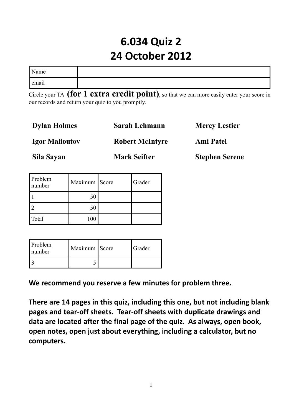## **6.034 Quiz 2 24 October 2012**

| Name  |  |
|-------|--|
| email |  |

Circle your TA **(for 1 extra credit point)**, so that we can more easily enter your score in our records and return your quiz to you promptly.

| <b>Dylan Holmes</b>   | Sarah Lehmann          | <b>Mercy Lestier</b>  |
|-----------------------|------------------------|-----------------------|
| <b>Igor Malioutov</b> | <b>Robert McIntyre</b> | <b>Ami Patel</b>      |
| Sila Sayan            | <b>Mark Seifter</b>    | <b>Stephen Serene</b> |

| Problem<br>number | Maximum Score | Grader |
|-------------------|---------------|--------|
|                   | 50            |        |
|                   | 50            |        |
| Total             | 100           |        |

| Problem<br>number | Maximum   Score | Grader |
|-------------------|-----------------|--------|
|                   |                 |        |

**We recommend you reserve a few minutes for problem three.**

**There are 14 pages in this quiz, including this one, but not including blank pages and tear-off sheets. Tear-off sheets with duplicate drawings and data are located after the final page of the quiz. As always, open book, open notes, open just about everything, including a calculator, but no computers.**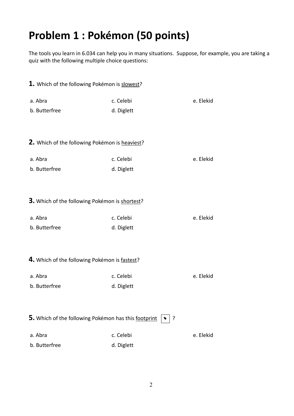# **Problem 1 : Pokémon (50 points)**

The tools you learn in 6.034 can help you in many situations. Suppose, for example, you are taking a quiz with the following multiple choice questions:

| 1. Which of the following Pokémon is slowest?        |            |           |
|------------------------------------------------------|------------|-----------|
| a. Abra                                              | c. Celebi  | e. Elekid |
| b. Butterfree                                        | d. Diglett |           |
| 2. Which of the following Pokémon is heaviest?       |            |           |
|                                                      |            |           |
| a. Abra                                              | c. Celebi  | e. Elekid |
| b. Butterfree                                        | d. Diglett |           |
| 3. Which of the following Pokémon is shortest?       |            |           |
| a. Abra                                              | c. Celebi  | e. Elekid |
| b. Butterfree                                        | d. Diglett |           |
| 4. Which of the following Pokémon is fastest?        |            |           |
| a. Abra                                              | c. Celebi  | e. Elekid |
| b. Butterfree                                        | d. Diglett |           |
| 5. Which of the following Pokémon has this footprint | ?          |           |
| a. Abra                                              | c. Celebi  | e. Elekid |
| b. Butterfree                                        | d. Diglett |           |
|                                                      |            |           |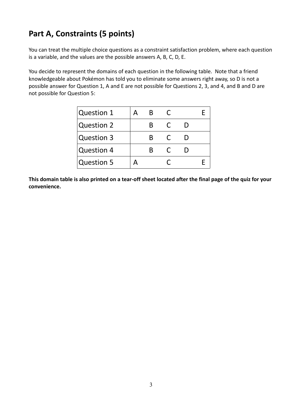### **Part A, Constraints (5 points)**

You can treat the multiple choice questions as a constraint satisfaction problem, where each question is a variable, and the values are the possible answers A, B, C, D, E.

You decide to represent the domains of each question in the following table. Note that a friend knowledgeable about Pokémon has told you to eliminate some answers right away, so D is not a possible answer for Question 1, A and E are not possible for Questions 2, 3, and 4, and B and D are not possible for Question 5:

| <b>Question 1</b> |  |  |  |
|-------------------|--|--|--|
| <b>Question 2</b> |  |  |  |
| Question 3        |  |  |  |
| <b>Question 4</b> |  |  |  |
| <b>Question 5</b> |  |  |  |

**This domain table is also printed on a tear-off sheet located after the final page of the quiz for your convenience.**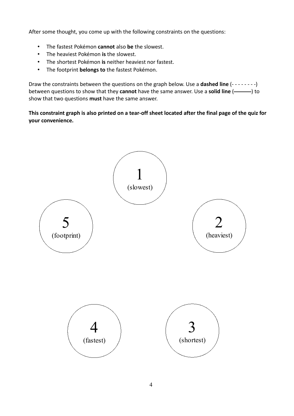After some thought, you come up with the following constraints on the questions:

- The fastest Pokémon **cannot** also **be** the slowest.
- The heaviest Pokémon **is** the slowest.
- The shortest Pokémon **is** neither heaviest nor fastest.
- The footprint **belongs to** the fastest Pokémon.

Draw the constraints between the questions on the graph below. Use a **dashed line** (- - - - - - - -) between questions to show that they **cannot** have the same answer. Use a **solid line** ( ) to show that two questions **must** have the same answer.

**This constraint graph is also printed on a tear-off sheet located after the final page of the quiz for your convenience.**

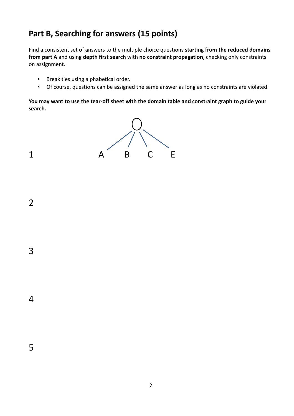### **Part B, Searching for answers (15 points)**

Find a consistent set of answers to the multiple choice questions **starting from the reduced domains from part A** and using **depth first search** with **no constraint propagation**, checking only constraints on assignment.

- Break ties using alphabetical order.
- Of course, questions can be assigned the same answer as long as no constraints are violated.

**You may want to use the tear-off sheet with the domain table and constraint graph to guide your search.**

5



2

3

4

5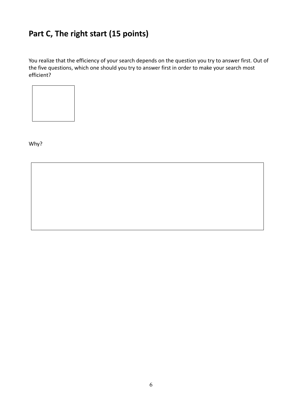### **Part C, The right start (15 points)**

You realize that the efficiency of your search depends on the question you try to answer first. Out of the five questions, which one should you try to answer first in order to make your search most efficient?



Why?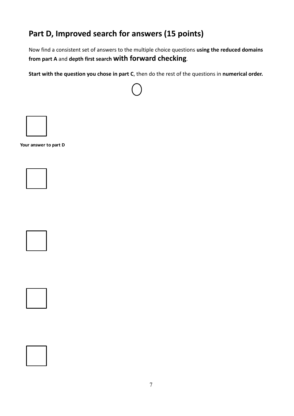### **Part D, Improved search for answers (15 points)**

Now find a consistent set of answers to the multiple choice questions **using the reduced domains from part A** and **depth first search with forward checking**.

**Start with the question you chose in part C**, then do the rest of the questions in **numerical order.**



**Your answer to part D**

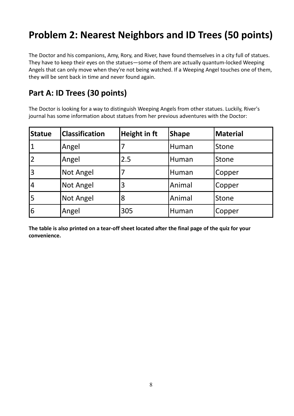## **Problem 2: Nearest Neighbors and ID Trees (50 points)**

The Doctor and his companions, Amy, Rory, and River, have found themselves in a city full of statues. They have to keep their eyes on the statues—some of them are actually quantum-locked Weeping Angels that can only move when they're not being watched. If a Weeping Angel touches one of them, they will be sent back in time and never found again.

#### **Part A: ID Trees (30 points)**

The Doctor is looking for a way to distinguish Weeping Angels from other statues. Luckily, River's journal has some information about statues from her previous adventures with the Doctor:

| <b>Statue</b>  | <b>Classification</b> | <b>Height in ft</b> | <b>Shape</b> | Material |
|----------------|-----------------------|---------------------|--------------|----------|
|                | Angel                 |                     | Human        | Stone    |
|                | Angel                 | 2.5                 | Human        | Stone    |
| 3              | <b>Not Angel</b>      |                     | Human        | Copper   |
| $\overline{4}$ | <b>Not Angel</b>      | 3                   | Animal       | Copper   |
| 5              | <b>Not Angel</b>      | 8                   | Animal       | Stone    |
| 6              | Angel                 | 305                 | Human        | Copper   |

**The table is also printed on a tear-off sheet located after the final page of the quiz for your convenience.**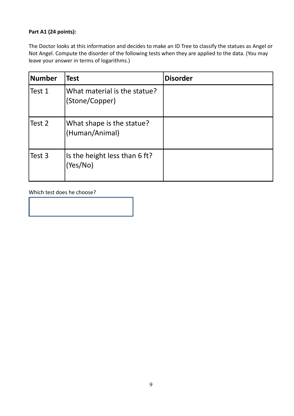#### **Part A1 (24 points):**

The Doctor looks at this information and decides to make an ID Tree to classify the statues as Angel or Not Angel. Compute the disorder of the following tests when they are applied to the data. (You may leave your answer in terms of logarithms.)

| <b>Number</b> | <b>Test</b>                                    | <b>Disorder</b> |
|---------------|------------------------------------------------|-----------------|
| Test 1        | What material is the statue?<br>(Stone/Copper) |                 |
| Test 2        | What shape is the statue?<br>(Human/Animal)    |                 |
| Test 3        | Is the height less than 6 ft?<br>(Yes/No)      |                 |

Which test does he choose?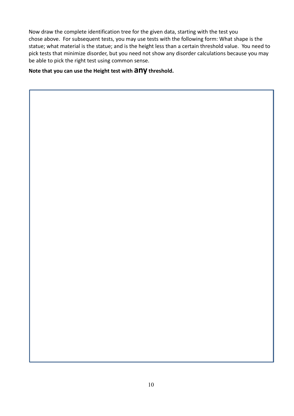Now draw the complete identification tree for the given data, starting with the test you chose above. For subsequent tests, you may use tests with the following form: What shape is the statue; what material is the statue; and is the height less than a certain threshold value. You need to pick tests that minimize disorder, but you need not show any disorder calculations because you may be able to pick the right test using common sense.

**Note that you can use the Height test with any threshold.**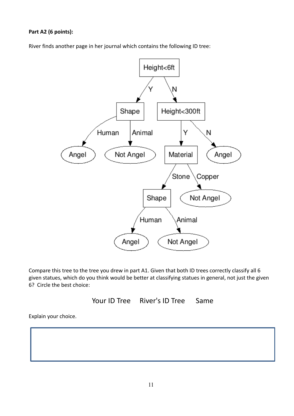**Part A2 (6 points):**

River finds another page in her journal which contains the following ID tree:



Compare this tree to the tree you drew in part A1. Given that both ID trees correctly classify all 6 given statues, which do you think would be better at classifying statues in general, not just the given 6? Circle the best choice:

Your ID Tree River's ID Tree Same

Explain your choice.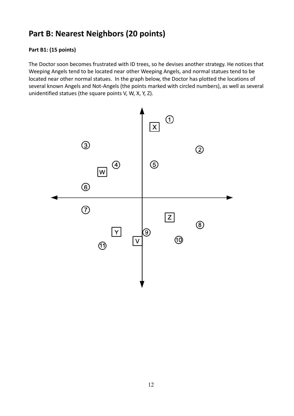#### **Part B: Nearest Neighbors (20 points)**

#### **Part B1: (15 points)**

The Doctor soon becomes frustrated with ID trees, so he devises another strategy. He notices that Weeping Angels tend to be located near other Weeping Angels, and normal statues tend to be located near other normal statues. In the graph below, the Doctor has plotted the locations of several known Angels and Not-Angels (the points marked with circled numbers), as well as several unidentified statues (the square points V, W, X, Y, Z).

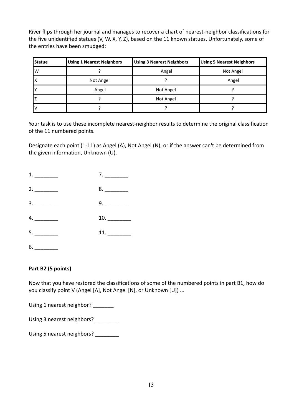River flips through her journal and manages to recover a chart of nearest-neighbor classifications for the five unidentified statues (V, W, X, Y, Z), based on the 11 known statues. Unfortunately, some of the entries have been smudged:

| Statue | <b>Using 1 Nearest Neighbors</b> | <b>Using 3 Nearest Neighbors</b> | <b>Using 5 Nearest Neighbors</b> |
|--------|----------------------------------|----------------------------------|----------------------------------|
| W      |                                  | Angel                            | Not Angel                        |
| л      | Not Angel                        |                                  | Angel                            |
|        | Angel                            | Not Angel                        |                                  |
|        |                                  | Not Angel                        |                                  |
|        |                                  |                                  |                                  |

Your task is to use these incomplete nearest-neighbor results to determine the original classification of the 11 numbered points.

Designate each point (1-11) as Angel (A), Not Angel (N), or if the answer can't be determined from the given information, Unknown (U).

| 1. | 7.  |
|----|-----|
| 2. | 8.  |
| 3. |     |
| 4. | 10. |
|    |     |
| 6. |     |

#### **Part B2 (5 points)**

Now that you have restored the classifications of some of the numbered points in part B1, how do you classify point V (Angel [A], Not Angel [N], or Unknown [U]) ...

Using 1 nearest neighbor? \_\_\_\_\_\_\_

Using 3 nearest neighbors? \_\_\_\_\_\_\_\_

Using 5 nearest neighbors?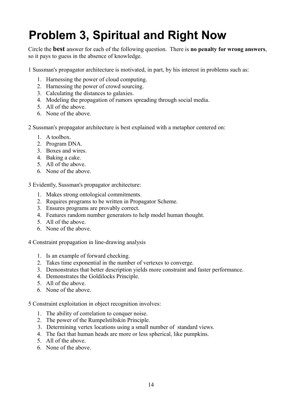# **Problem 3, Spiritual and Right Now**

Circle the **best** answer for each of the following question. There is **no penalty for wrong answers**, so it pays to guess in the absence of knowledge.

1 Sussman's propagator architecture is motivated, in part, by his interest in problems such as:

- 1. Harnessing the power of cloud computing.
- 2. Harnessing the power of crowd sourcing.
- 3. Calculating the distances to galaxies.
- 4. Modeling the propagation of rumors spreading through social media.
- 5. All of the above.
- 6. None of the above.

2 Sussman's propagator architecture is best explained with a metaphor centered on:

- 1. A toolbox.
- 2. Program DNA.
- 3. Boxes and wires.
- 4. Baking a cake.
- 5. All of the above.
- 6. None of the above.

3 Evidently, Sussman's propagator architecture:

- 1. Makes strong ontological commitments.
- 2. Requires programs to be written in Propagator Scheme.
- 3. Ensures programs are provably correct.
- 4. Features random number generators to help model human thought.
- 5. All of the above.
- 6. None of the above.

4 Constraint propagation in line-drawing analysis

- 1. Is an example of forward checking.
- 2. Takes time exponential in the number of vertexes to converge.
- 3. Demonstrates that better description yields more constraint and faster performance.
- 4. Demonstrates the Goldilocks Principle.
- 5. All of the above.
- 6. None of the above.

5 Constraint exploitation in object recognition involves:

- 1. The ability of correlation to conquer noise.
- 2. The power of the Rumpelstiltskin Principle.
- 3. Determining vertex locations using a small number of standard views.
- 4. The fact that human heads are more or less spherical, like pumpkins.
- 5. All of the above.
- 6. None of the above.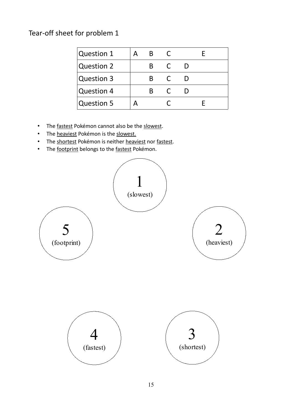Tear-off sheet for problem 1

| <b>Question 1</b> |   |  |  |
|-------------------|---|--|--|
| <b>Question 2</b> |   |  |  |
| Question 3        | ĸ |  |  |
| <b>Question 4</b> |   |  |  |
| <b>Question 5</b> |   |  |  |

- The fastest Pokémon cannot also be the slowest.
- The heaviest Pokémon is the slowest.
- The shortest Pokémon is neither heaviest nor fastest.
- The footprint belongs to the fastest Pokémon.